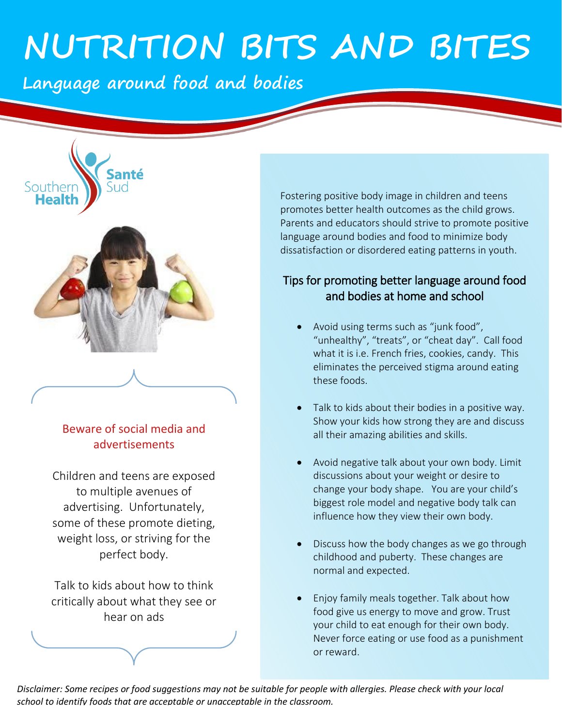# **NUTRITION BITS AND BITES**

**Language around food and bodies** 



Southerr **Heal** 

### Beware of social media and advertisements

Children and teens are exposed to multiple avenues of advertising. Unfortunately, some of these promote dieting, weight loss, or striving for the perfect body.

Talk to kids about how to think critically about what they see or hear on ads

Fostering positive body image in children and teens promotes better health outcomes as the child grows. Parents and educators should strive to promote positive language around bodies and food to minimize body dissatisfaction or disordered eating patterns in youth.

## Tips for promoting better language around food and bodies at home and school

- Avoid using terms such as "junk food", "unhealthy", "treats", or "cheat day". Call food what it is i.e. French fries, cookies, candy. This eliminates the perceived stigma around eating these foods.
- Talk to kids about their bodies in a positive way. Show your kids how strong they are and discuss all their amazing abilities and skills.
- Avoid negative talk about your own body. Limit discussions about your weight or desire to change your body shape. You are your child's biggest role model and negative body talk can influence how they view their own body.
- Discuss how the body changes as we go through childhood and puberty. These changes are normal and expected.
- Enjoy family meals together. Talk about how food give us energy to move and grow. Trust your child to eat enough for their own body. Never force eating or use food as a punishment or reward.

 *Disclaimer: Some recipes or food suggestions may not be suitable for people with allergies. Please check with your local school to identify foods that are acceptable or unacceptable in the classroom.*